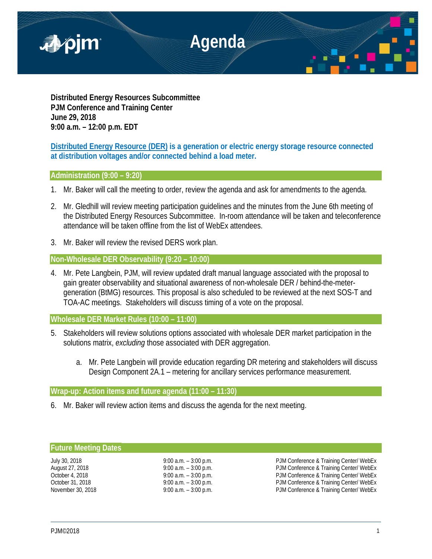

**Distributed Energy Resources Subcommittee PJM Conference and Training Center June 29, 2018 9:00 a.m. – 12:00 p.m. EDT**

**Distributed Energy Resource (DER) is a generation or electric energy storage resource connected at distribution voltages and/or connected behind a load meter.**

# **Administration (9:00 – 9:20)**

- 1. Mr. Baker will call the meeting to order, review the agenda and ask for amendments to the agenda.
- 2. Mr. Gledhill will review meeting participation guidelines and the minutes from the June 6th meeting of the Distributed Energy Resources Subcommittee. In-room attendance will be taken and teleconference attendance will be taken offline from the list of WebEx attendees.
- 3. Mr. Baker will review the revised DERS work plan.

**Non-Wholesale DER Observability (9:20 – 10:00)**

4. Mr. Pete Langbein, PJM, will review updated draft manual language associated with the proposal to gain greater observability and situational awareness of non-wholesale DER / behind-the-metergeneration (BtMG) resources. This proposal is also scheduled to be reviewed at the next SOS-T and TOA-AC meetings. Stakeholders will discuss timing of a vote on the proposal.

**Wholesale DER Market Rules (10:00 – 11:00)**

- 5. Stakeholders will review solutions options associated with wholesale DER market participation in the solutions matrix, *excluding* those associated with DER aggregation.
	- a. Mr. Pete Langbein will provide education regarding DR metering and stakeholders will discuss Design Component 2A.1 – metering for ancillary services performance measurement.

# **Wrap-up: Action items and future agenda (11:00 – 11:30)**

6. Mr. Baker will review action items and discuss the agenda for the next meeting.

# **Future Meeting Dates**

July 30, 2018 **19:00 a.m.** – 3:00 p.m. **PJM Conference & Training Center/ WebEx**<br>August 27, 2018 **19:00 a.m.** – 3:00 p.m. PJM Conference & Training Center/ WebEx PJM Conference & Training Center/ WebEx October 4, 2018 **9:00 a.m.** – 3:00 p.m. PJM Conference & Training Center/ WebEx October 31, 2018 **9:00 a.m. – 3:00 p.m.** PJM Conference & Training Center/ WebEx November 30, 2018 **19:00 a.m.** – 3:00 p.m. **PJM Conference & Training Center/ WebEx**